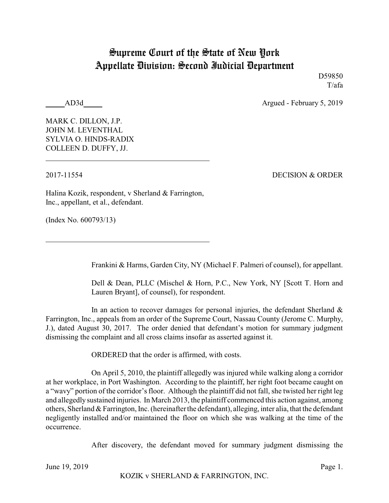## Supreme Court of the State of New York Appellate Division: Second Judicial Department

D59850 T/afa

AD3d Argued - February 5, 2019

MARK C. DILLON, J.P. JOHN M. LEVENTHAL SYLVIA O. HINDS-RADIX COLLEEN D. DUFFY, JJ.

2017-11554 DECISION & ORDER

Halina Kozik, respondent, v Sherland & Farrington, Inc., appellant, et al., defendant.

(Index No. 600793/13)

Frankini & Harms, Garden City, NY (Michael F. Palmeri of counsel), for appellant.

Dell & Dean, PLLC (Mischel & Horn, P.C., New York, NY [Scott T. Horn and Lauren Bryant], of counsel), for respondent.

In an action to recover damages for personal injuries, the defendant Sherland  $\&$ Farrington, Inc., appeals from an order of the Supreme Court, Nassau County (Jerome C. Murphy, J.), dated August 30, 2017. The order denied that defendant's motion for summary judgment dismissing the complaint and all cross claims insofar as asserted against it.

ORDERED that the order is affirmed, with costs.

On April 5, 2010, the plaintiff allegedly was injured while walking along a corridor at her workplace, in Port Washington. According to the plaintiff, her right foot became caught on a "wavy" portion of the corridor's floor. Although the plaintiff did not fall, she twisted her right leg and allegedly sustained injuries. In March 2013, the plaintiff commenced this action against, among others, Sherland & Farrington, Inc. (hereinafter the defendant), alleging, inter alia, that the defendant negligently installed and/or maintained the floor on which she was walking at the time of the occurrence.

After discovery, the defendant moved for summary judgment dismissing the

June 19, 2019 Page 1.

KOZIK v SHERLAND & FARRINGTON, INC.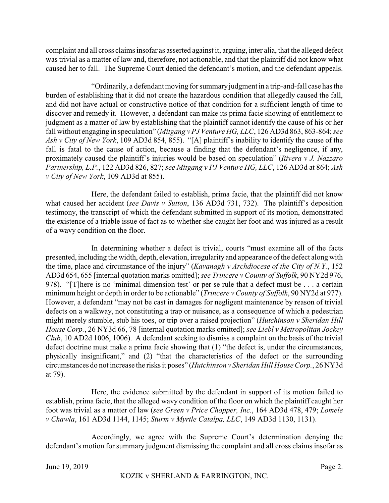complaint and all cross claims insofar as asserted against it, arguing, inter alia, that the alleged defect was trivial as a matter of law and, therefore, not actionable, and that the plaintiff did not know what caused her to fall. The Supreme Court denied the defendant's motion, and the defendant appeals.

"Ordinarily, a defendant moving for summaryjudgment in a trip-and-fall case has the burden of establishing that it did not create the hazardous condition that allegedly caused the fall, and did not have actual or constructive notice of that condition for a sufficient length of time to discover and remedy it. However, a defendant can make its prima facie showing of entitlement to judgment as a matter of law by establishing that the plaintiff cannot identify the cause of his or her fall without engaging in speculation" (*Mitgang v PJ Venture HG, LLC*, 126 AD3d 863, 863-864; *see Ash v City of New York*, 109 AD3d 854, 855). "[A] plaintiff's inability to identify the cause of the fall is fatal to the cause of action, because a finding that the defendant's negligence, if any, proximately caused the plaintiff's injuries would be based on speculation" (*Rivera v J. Nazzaro Partnership, L.P.*, 122 AD3d 826, 827; *see Mitgang v PJ Venture HG, LLC*, 126 AD3d at 864; *Ash v City of New York*, 109 AD3d at 855).

Here, the defendant failed to establish, prima facie, that the plaintiff did not know what caused her accident (*see Davis v Sutton*, 136 AD3d 731, 732). The plaintiff's deposition testimony, the transcript of which the defendant submitted in support of its motion, demonstrated the existence of a triable issue of fact as to whether she caught her foot and was injured as a result of a wavy condition on the floor.

In determining whether a defect is trivial, courts "must examine all of the facts presented, including the width, depth, elevation, irregularity and appearance of the defect along with the time, place and circumstance of the injury" (*Kavanagh v Archdiocese of the City of N.Y.*, 152 AD3d 654, 655 [internal quotation marks omitted]; *see Trincere v County of Suffolk*, 90 NY2d 976, 978). "[T]here is no 'minimal dimension test' or per se rule that a defect must be . . . a certain minimum height or depth in order to be actionable" (*Trincere v County of Suffolk*, 90 NY2d at 977). However, a defendant "may not be cast in damages for negligent maintenance by reason of trivial defects on a walkway, not constituting a trap or nuisance, as a consequence of which a pedestrian might merely stumble, stub his toes, or trip over a raised projection" (*Hutchinson v Sheridan Hill House Corp.*, 26 NY3d 66, 78 [internal quotation marks omitted]; *see Liebl v Metropolitan Jockey Club*, 10 AD2d 1006, 1006). A defendant seeking to dismiss a complaint on the basis of the trivial defect doctrine must make a prima facie showing that (1) "the defect is, under the circumstances, physically insignificant," and (2) "that the characteristics of the defect or the surrounding circumstances do not increase the risks it poses" (*Hutchinson v Sheridan Hill House Corp.*, 26 NY3d at 79).

Here, the evidence submitted by the defendant in support of its motion failed to establish, prima facie, that the alleged wavy condition of the floor on which the plaintiff caught her foot was trivial as a matter of law (*see Green v Price Chopper, Inc.*, 164 AD3d 478, 479; *Lomele v Chawla*, 161 AD3d 1144, 1145; *Sturm v Myrtle Catalpa, LLC*, 149 AD3d 1130, 1131).

Accordingly, we agree with the Supreme Court's determination denying the defendant's motion for summary judgment dismissing the complaint and all cross claims insofar as

June 19, 2019 Page 2.